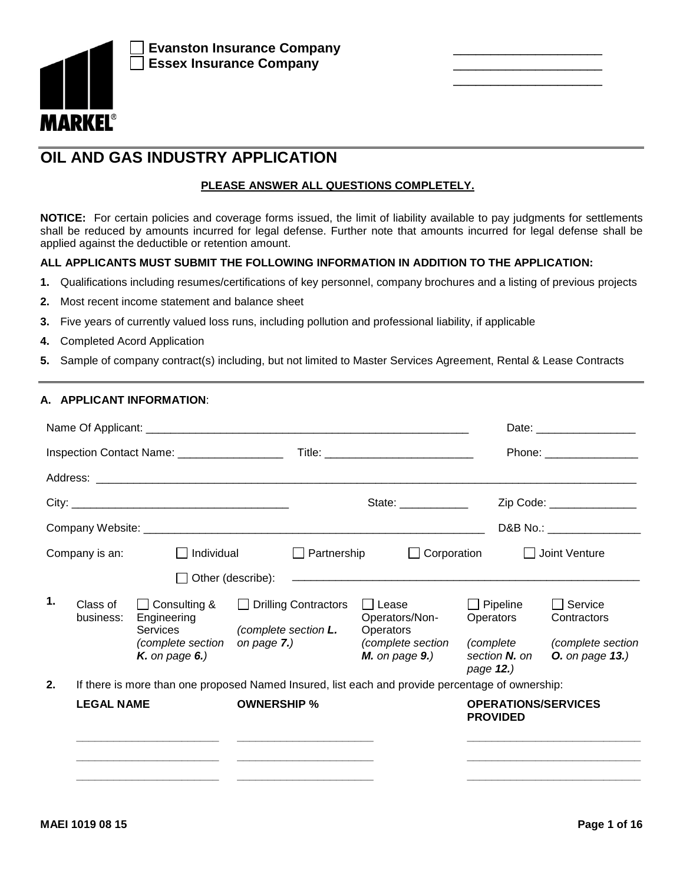

# **OIL AND GAS INDUSTRY APPLICATION**

## **PLEASE ANSWER ALL QUESTIONS COMPLETELY.**

**NOTICE:** For certain policies and coverage forms issued, the limit of liability available to pay judgments for settlements shall be reduced by amounts incurred for legal defense. Further note that amounts incurred for legal defense shall be applied against the deductible or retention amount.

## **ALL APPLICANTS MUST SUBMIT THE FOLLOWING INFORMATION IN ADDITION TO THE APPLICATION:**

- **1.** Qualifications including resumes/certifications of key personnel, company brochures and a listing of previous projects
- **2.** Most recent income statement and balance sheet
- **3.** Five years of currently valued loss runs, including pollution and professional liability, if applicable
- **4.** Completed Acord Application
- **5.** Sample of company contract(s) including, but not limited to Master Services Agreement, Rental & Lease Contracts

### **A. APPLICANT INFORMATION**:

|    |                       | Inspection Contact Name: ___________________                                        |                                                                                                  | Title: _______________________________                                                                                                                                                                                                                                                                                                                                                                       |                                                                         | Phone: _______________                                                       |
|----|-----------------------|-------------------------------------------------------------------------------------|--------------------------------------------------------------------------------------------------|--------------------------------------------------------------------------------------------------------------------------------------------------------------------------------------------------------------------------------------------------------------------------------------------------------------------------------------------------------------------------------------------------------------|-------------------------------------------------------------------------|------------------------------------------------------------------------------|
|    |                       |                                                                                     |                                                                                                  |                                                                                                                                                                                                                                                                                                                                                                                                              |                                                                         |                                                                              |
|    |                       |                                                                                     |                                                                                                  | State: $\frac{1}{\sqrt{1-\frac{1}{2}}\sqrt{1-\frac{1}{2}}\sqrt{1-\frac{1}{2}}\sqrt{1-\frac{1}{2}}\sqrt{1-\frac{1}{2}}\sqrt{1-\frac{1}{2}}\sqrt{1-\frac{1}{2}}\sqrt{1-\frac{1}{2}}\sqrt{1-\frac{1}{2}}\sqrt{1-\frac{1}{2}}\sqrt{1-\frac{1}{2}}\sqrt{1-\frac{1}{2}}\sqrt{1-\frac{1}{2}}\sqrt{1-\frac{1}{2}}\sqrt{1-\frac{1}{2}}\sqrt{1-\frac{1}{2}}\sqrt{1-\frac{1}{2}}\sqrt{1-\frac{1}{2}}\sqrt{1-\frac{1}{2$ |                                                                         | Zip Code: _______________                                                    |
|    |                       |                                                                                     |                                                                                                  |                                                                                                                                                                                                                                                                                                                                                                                                              |                                                                         | D&B No.: __________________                                                  |
|    | Company is an:        | $\Box$ Individual                                                                   | $\Box$ Partnership                                                                               | $\Box$ Corporation                                                                                                                                                                                                                                                                                                                                                                                           |                                                                         | $\Box$ Joint Venture                                                         |
|    |                       | $\Box$ Other (describe):                                                            |                                                                                                  |                                                                                                                                                                                                                                                                                                                                                                                                              |                                                                         |                                                                              |
| 1. | Class of<br>business: | □ Consulting &<br>Engineering<br>Services<br>(complete section<br>$K$ . on page 6.) | Drilling Contractors<br>(complete section L.<br>on page $7$ .)                                   | $\Box$ Lease<br>Operators/Non-<br>Operators<br>(complete section<br>$M.$ on page $9.$ )                                                                                                                                                                                                                                                                                                                      | $\Box$ Pipeline<br>Operators<br>(complete<br>section N. on<br>page 12.) | $\Box$ Service<br>Contractors<br>(complete section<br><b>O.</b> on page 13.) |
| 2. |                       |                                                                                     | If there is more than one proposed Named Insured, list each and provide percentage of ownership: |                                                                                                                                                                                                                                                                                                                                                                                                              |                                                                         |                                                                              |
|    | <b>LEGAL NAME</b>     |                                                                                     | <b>OWNERSHIP %</b>                                                                               |                                                                                                                                                                                                                                                                                                                                                                                                              | <b>OPERATIONS/SERVICES</b><br><b>PROVIDED</b>                           |                                                                              |
|    |                       |                                                                                     |                                                                                                  |                                                                                                                                                                                                                                                                                                                                                                                                              |                                                                         |                                                                              |
|    |                       |                                                                                     |                                                                                                  |                                                                                                                                                                                                                                                                                                                                                                                                              |                                                                         |                                                                              |

\_\_\_\_\_\_\_\_\_\_\_\_\_\_\_\_\_\_\_\_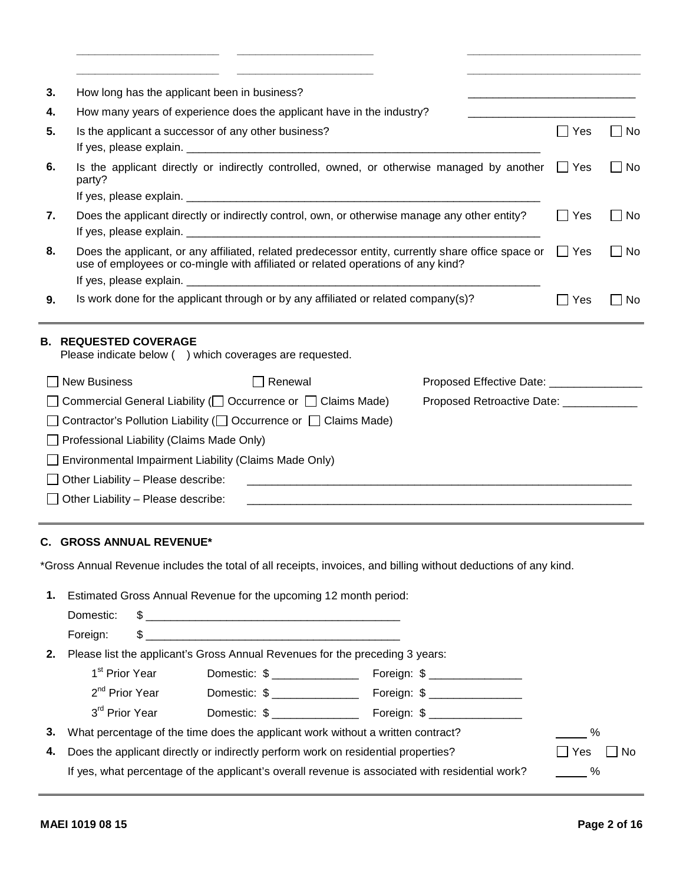| 3. | How long has the applicant been in business?                                                                   |                                                                                                                                                                                                   |                                                                                     |            |           |
|----|----------------------------------------------------------------------------------------------------------------|---------------------------------------------------------------------------------------------------------------------------------------------------------------------------------------------------|-------------------------------------------------------------------------------------|------------|-----------|
| 4. |                                                                                                                | How many years of experience does the applicant have in the industry?                                                                                                                             |                                                                                     |            |           |
| 5. | Is the applicant a successor of any other business?                                                            |                                                                                                                                                                                                   |                                                                                     | $\Box$ Yes | $\Box$ No |
| 6. | party?                                                                                                         | Is the applicant directly or indirectly controlled, owned, or otherwise managed by another $\Box$ Yes                                                                                             |                                                                                     |            | $\Box$ No |
|    |                                                                                                                |                                                                                                                                                                                                   |                                                                                     |            |           |
| 7. |                                                                                                                | Does the applicant directly or indirectly control, own, or otherwise manage any other entity?                                                                                                     |                                                                                     | $\Box$ Yes | $\Box$ No |
| 8. |                                                                                                                | Does the applicant, or any affiliated, related predecessor entity, currently share office space or $\Box$ Yes<br>use of employees or co-mingle with affiliated or related operations of any kind? |                                                                                     |            | $\Box$ No |
|    |                                                                                                                |                                                                                                                                                                                                   |                                                                                     |            |           |
| 9. |                                                                                                                | Is work done for the applicant through or by any affiliated or related company(s)?                                                                                                                |                                                                                     | $\Box$ Yes | $\Box$ No |
|    | <b>B. REQUESTED COVERAGE</b><br>Please indicate below () which coverages are requested.<br>$\Box$ New Business | $\Box$ Renewal<br>$\Box$ Commercial General Liability ( $\Box$ Occurrence or $\Box$ Claims Made)                                                                                                  | Proposed Effective Date: ________________<br>Proposed Retroactive Date: ___________ |            |           |
|    |                                                                                                                | $\Box$ Contractor's Pollution Liability ( $\Box$ Occurrence or $\Box$ Claims Made)                                                                                                                |                                                                                     |            |           |
|    | $\Box$ Professional Liability (Claims Made Only)                                                               |                                                                                                                                                                                                   |                                                                                     |            |           |
|    | Environmental Impairment Liability (Claims Made Only)                                                          |                                                                                                                                                                                                   |                                                                                     |            |           |
|    | $\Box$ Other Liability – Please describe:                                                                      |                                                                                                                                                                                                   |                                                                                     |            |           |
|    | $\Box$ Other Liability – Please describe:                                                                      |                                                                                                                                                                                                   |                                                                                     |            |           |
|    |                                                                                                                |                                                                                                                                                                                                   |                                                                                     |            |           |
|    | <b>C. GROSS ANNUAL REVENUE*</b>                                                                                |                                                                                                                                                                                                   |                                                                                     |            |           |
|    |                                                                                                                | *Gross Annual Revenue includes the total of all receipts, invoices, and billing without deductions of any kind.                                                                                   |                                                                                     |            |           |
|    |                                                                                                                |                                                                                                                                                                                                   |                                                                                     |            |           |

|                            | 1. Estimated Gross Annual Revenue for the upcoming 12 month period:             |                                                                                                 |                      |  |
|----------------------------|---------------------------------------------------------------------------------|-------------------------------------------------------------------------------------------------|----------------------|--|
| Domestic:                  |                                                                                 |                                                                                                 |                      |  |
| Foreign:                   |                                                                                 |                                                                                                 |                      |  |
|                            | 2. Please list the applicant's Gross Annual Revenues for the preceding 3 years: |                                                                                                 |                      |  |
| 1 <sup>st</sup> Prior Year | Domestic: \$                                                                    | Foreign: \$ __________________                                                                  |                      |  |
| 2 <sup>nd</sup> Prior Year | Domestic: \$                                                                    | Foreign: \$ __________________                                                                  |                      |  |
| 3 <sup>rd</sup> Prior Year | Domestic: \$                                                                    | Foreign: \$                                                                                     |                      |  |
|                            |                                                                                 | 3. What percentage of the time does the applicant work without a written contract?              |                      |  |
|                            |                                                                                 | 4. Does the applicant directly or indirectly perform work on residential properties?            | $\Box$ No<br>□ Yes [ |  |
|                            |                                                                                 | If yes, what percentage of the applicant's overall revenue is associated with residential work? | %                    |  |
|                            |                                                                                 |                                                                                                 |                      |  |

**\_\_\_\_\_\_\_\_\_\_\_\_\_\_\_\_\_\_\_\_\_\_\_ \_\_\_\_\_\_\_\_\_\_\_\_\_\_\_\_\_\_\_\_\_\_ \_\_\_\_\_\_\_\_\_\_\_\_\_\_\_\_\_\_\_\_\_\_\_\_\_\_\_\_**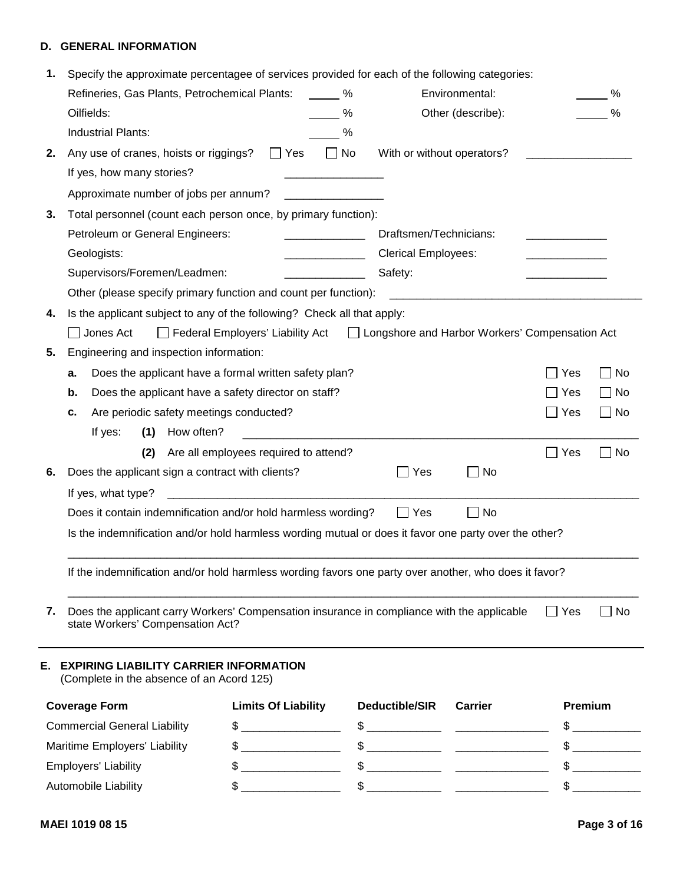## **D. GENERAL INFORMATION**

| 1. Specify the approximate percentagee of services provided for each of the following categories:                                 |                                                                                                       |                                                                                                                                                                                                                                                                                                                     |                                                                                                                                                                                                                                      |            |           |
|-----------------------------------------------------------------------------------------------------------------------------------|-------------------------------------------------------------------------------------------------------|---------------------------------------------------------------------------------------------------------------------------------------------------------------------------------------------------------------------------------------------------------------------------------------------------------------------|--------------------------------------------------------------------------------------------------------------------------------------------------------------------------------------------------------------------------------------|------------|-----------|
| Refineries, Gas Plants, Petrochemical Plants:                                                                                     | $\%$                                                                                                  |                                                                                                                                                                                                                                                                                                                     | Environmental:                                                                                                                                                                                                                       |            | %         |
| Oilfields:                                                                                                                        |                                                                                                       | %                                                                                                                                                                                                                                                                                                                   | Other (describe):                                                                                                                                                                                                                    |            |           |
| <b>Industrial Plants:</b>                                                                                                         |                                                                                                       | %                                                                                                                                                                                                                                                                                                                   |                                                                                                                                                                                                                                      |            |           |
| 2. Any use of cranes, hoists or riggings?                                                                                         | $\Box$ No<br>$\Box$ Yes                                                                               |                                                                                                                                                                                                                                                                                                                     | With or without operators?                                                                                                                                                                                                           |            |           |
| If yes, how many stories?                                                                                                         |                                                                                                       |                                                                                                                                                                                                                                                                                                                     |                                                                                                                                                                                                                                      |            |           |
| Approximate number of jobs per annum?                                                                                             |                                                                                                       |                                                                                                                                                                                                                                                                                                                     |                                                                                                                                                                                                                                      |            |           |
| 3. Total personnel (count each person once, by primary function):                                                                 |                                                                                                       |                                                                                                                                                                                                                                                                                                                     |                                                                                                                                                                                                                                      |            |           |
| Petroleum or General Engineers:                                                                                                   |                                                                                                       | Draftsmen/Technicians:                                                                                                                                                                                                                                                                                              |                                                                                                                                                                                                                                      |            |           |
| Geologists:                                                                                                                       | <b>Contract Contract Contract Contract</b>                                                            | <b>Clerical Employees:</b>                                                                                                                                                                                                                                                                                          |                                                                                                                                                                                                                                      |            |           |
| Supervisors/Foremen/Leadmen:                                                                                                      |                                                                                                       | Safety:                                                                                                                                                                                                                                                                                                             |                                                                                                                                                                                                                                      |            |           |
|                                                                                                                                   | Other (please specify primary function and count per function):                                       |                                                                                                                                                                                                                                                                                                                     | <u> 1989 - Johann Harry Harry Harry Harry Harry Harry Harry Harry Harry Harry Harry Harry Harry Harry Harry Harry Harry Harry Harry Harry Harry Harry Harry Harry Harry Harry Harry Harry Harry Harry Harry Harry Harry Harry Ha</u> |            |           |
| 4. Is the applicant subject to any of the following? Check all that apply:                                                        |                                                                                                       |                                                                                                                                                                                                                                                                                                                     |                                                                                                                                                                                                                                      |            |           |
| $\Box$ Jones Act                                                                                                                  | □ Federal Employers' Liability Act □ Longshore and Harbor Workers' Compensation Act                   |                                                                                                                                                                                                                                                                                                                     |                                                                                                                                                                                                                                      |            |           |
| Engineering and inspection information:<br>5.                                                                                     |                                                                                                       |                                                                                                                                                                                                                                                                                                                     |                                                                                                                                                                                                                                      |            |           |
| а.                                                                                                                                | Does the applicant have a formal written safety plan?                                                 |                                                                                                                                                                                                                                                                                                                     |                                                                                                                                                                                                                                      | $\Box$ Yes | $\Box$ No |
| b.                                                                                                                                | Does the applicant have a safety director on staff?                                                   |                                                                                                                                                                                                                                                                                                                     |                                                                                                                                                                                                                                      | l I Yes    | $\Box$ No |
| Are periodic safety meetings conducted?<br>c.                                                                                     |                                                                                                       |                                                                                                                                                                                                                                                                                                                     |                                                                                                                                                                                                                                      | $\Box$ Yes | $\Box$ No |
| (1) How often?<br>If yes:                                                                                                         |                                                                                                       |                                                                                                                                                                                                                                                                                                                     |                                                                                                                                                                                                                                      |            |           |
| (2)                                                                                                                               | Are all employees required to attend?                                                                 |                                                                                                                                                                                                                                                                                                                     |                                                                                                                                                                                                                                      | $\Box$ Yes | $\Box$ No |
| 6. Does the applicant sign a contract with clients?                                                                               |                                                                                                       | $\Box$ Yes                                                                                                                                                                                                                                                                                                          | $\Box$ No                                                                                                                                                                                                                            |            |           |
| If yes, what type?                                                                                                                |                                                                                                       |                                                                                                                                                                                                                                                                                                                     |                                                                                                                                                                                                                                      |            |           |
|                                                                                                                                   | Does it contain indemnification and/or hold harmless wording?                                         | $\Box$ Yes                                                                                                                                                                                                                                                                                                          | $\Box$ No                                                                                                                                                                                                                            |            |           |
|                                                                                                                                   | Is the indemnification and/or hold harmless wording mutual or does it favor one party over the other? |                                                                                                                                                                                                                                                                                                                     |                                                                                                                                                                                                                                      |            |           |
|                                                                                                                                   |                                                                                                       |                                                                                                                                                                                                                                                                                                                     |                                                                                                                                                                                                                                      |            |           |
|                                                                                                                                   | If the indemnification and/or hold harmless wording favors one party over another, who does it favor? |                                                                                                                                                                                                                                                                                                                     |                                                                                                                                                                                                                                      |            |           |
|                                                                                                                                   |                                                                                                       |                                                                                                                                                                                                                                                                                                                     |                                                                                                                                                                                                                                      |            |           |
| 7. Does the applicant carry Workers' Compensation insurance in compliance with the applicable<br>state Workers' Compensation Act? |                                                                                                       |                                                                                                                                                                                                                                                                                                                     |                                                                                                                                                                                                                                      | $\Box$ Yes | $\Box$ No |
|                                                                                                                                   |                                                                                                       |                                                                                                                                                                                                                                                                                                                     |                                                                                                                                                                                                                                      |            |           |
| E. EXPIRING LIABILITY CARRIER INFORMATION                                                                                         |                                                                                                       |                                                                                                                                                                                                                                                                                                                     |                                                                                                                                                                                                                                      |            |           |
| (Complete in the absence of an Acord 125)                                                                                         |                                                                                                       |                                                                                                                                                                                                                                                                                                                     |                                                                                                                                                                                                                                      |            |           |
| <b>Coverage Form</b>                                                                                                              | <b>Limits Of Liability</b>                                                                            | Deductible/SIR                                                                                                                                                                                                                                                                                                      | <b>Carrier</b>                                                                                                                                                                                                                       | Premium    |           |
| <b>Commercial General Liability</b>                                                                                               |                                                                                                       |                                                                                                                                                                                                                                                                                                                     |                                                                                                                                                                                                                                      |            |           |
| Maritime Employers' Liability                                                                                                     |                                                                                                       |                                                                                                                                                                                                                                                                                                                     |                                                                                                                                                                                                                                      |            |           |
| <b>Employers' Liability</b>                                                                                                       |                                                                                                       |                                                                                                                                                                                                                                                                                                                     |                                                                                                                                                                                                                                      |            |           |
| Automobile Liability                                                                                                              |                                                                                                       | $\frac{1}{2}$ $\frac{1}{2}$ $\frac{1}{2}$ $\frac{1}{2}$ $\frac{1}{2}$ $\frac{1}{2}$ $\frac{1}{2}$ $\frac{1}{2}$ $\frac{1}{2}$ $\frac{1}{2}$ $\frac{1}{2}$ $\frac{1}{2}$ $\frac{1}{2}$ $\frac{1}{2}$ $\frac{1}{2}$ $\frac{1}{2}$ $\frac{1}{2}$ $\frac{1}{2}$ $\frac{1}{2}$ $\frac{1}{2}$ $\frac{1}{2}$ $\frac{1}{2}$ |                                                                                                                                                                                                                                      |            |           |
|                                                                                                                                   |                                                                                                       |                                                                                                                                                                                                                                                                                                                     |                                                                                                                                                                                                                                      |            |           |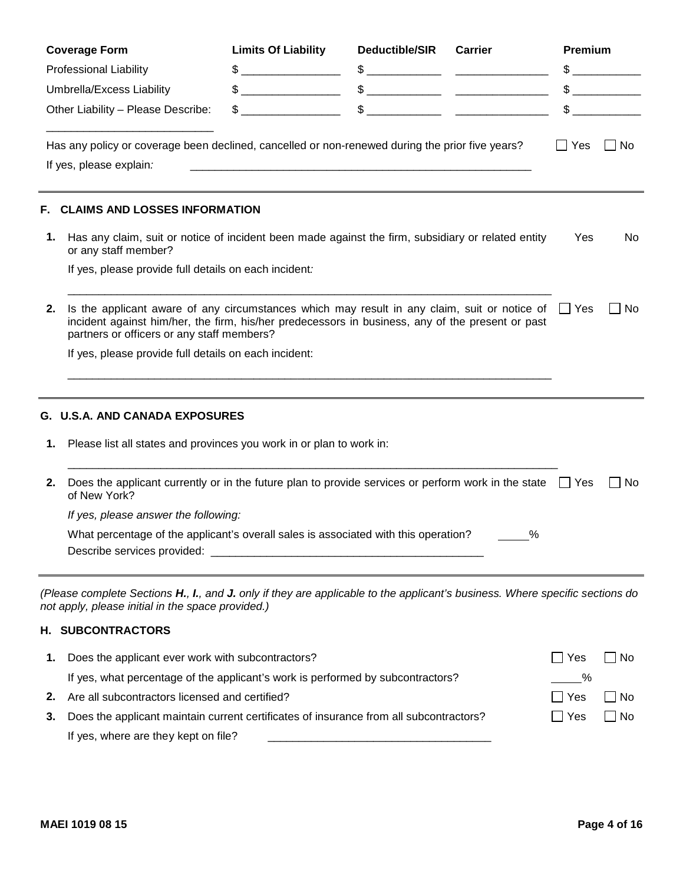|    | <b>Coverage Form</b>                                                                                                                                                                                                                                         | <b>Limits Of Liability</b> | <b>Deductible/SIR</b> | <b>Carrier</b>                                                                                                                                                                                                                                                                                                      | Premium              |                                                                                                                                                                                                                                                                                                                                                                                                                                 |
|----|--------------------------------------------------------------------------------------------------------------------------------------------------------------------------------------------------------------------------------------------------------------|----------------------------|-----------------------|---------------------------------------------------------------------------------------------------------------------------------------------------------------------------------------------------------------------------------------------------------------------------------------------------------------------|----------------------|---------------------------------------------------------------------------------------------------------------------------------------------------------------------------------------------------------------------------------------------------------------------------------------------------------------------------------------------------------------------------------------------------------------------------------|
|    | <b>Professional Liability</b>                                                                                                                                                                                                                                |                            |                       | $\frac{1}{2}$ $\frac{1}{2}$ $\frac{1}{2}$ $\frac{1}{2}$ $\frac{1}{2}$ $\frac{1}{2}$ $\frac{1}{2}$ $\frac{1}{2}$ $\frac{1}{2}$ $\frac{1}{2}$ $\frac{1}{2}$ $\frac{1}{2}$ $\frac{1}{2}$ $\frac{1}{2}$ $\frac{1}{2}$ $\frac{1}{2}$ $\frac{1}{2}$ $\frac{1}{2}$ $\frac{1}{2}$ $\frac{1}{2}$ $\frac{1}{2}$ $\frac{1}{2}$ |                      | $\mathbb{S}$                                                                                                                                                                                                                                                                                                                                                                                                                    |
|    | Umbrella/Excess Liability                                                                                                                                                                                                                                    |                            |                       |                                                                                                                                                                                                                                                                                                                     |                      |                                                                                                                                                                                                                                                                                                                                                                                                                                 |
|    | Other Liability - Please Describe:                                                                                                                                                                                                                           |                            |                       | $\frac{1}{2}$                                                                                                                                                                                                                                                                                                       |                      | $\frac{1}{\sqrt{1-\frac{1}{2}}}\frac{1}{\sqrt{1-\frac{1}{2}}}\frac{1}{\sqrt{1-\frac{1}{2}}}\frac{1}{\sqrt{1-\frac{1}{2}}}\frac{1}{\sqrt{1-\frac{1}{2}}}\frac{1}{\sqrt{1-\frac{1}{2}}}\frac{1}{\sqrt{1-\frac{1}{2}}}\frac{1}{\sqrt{1-\frac{1}{2}}}\frac{1}{\sqrt{1-\frac{1}{2}}}\frac{1}{\sqrt{1-\frac{1}{2}}}\frac{1}{\sqrt{1-\frac{1}{2}}}\frac{1}{\sqrt{1-\frac{1}{2}}}\frac{1}{\sqrt{1-\frac{1}{2}}}\frac{1}{\sqrt{1-\frac{$ |
|    |                                                                                                                                                                                                                                                              |                            |                       |                                                                                                                                                                                                                                                                                                                     |                      |                                                                                                                                                                                                                                                                                                                                                                                                                                 |
|    | Has any policy or coverage been declined, cancelled or non-renewed during the prior five years?<br>If yes, please explain.                                                                                                                                   |                            |                       |                                                                                                                                                                                                                                                                                                                     | $\Box$ Yes $\Box$ No |                                                                                                                                                                                                                                                                                                                                                                                                                                 |
| F. | <b>CLAIMS AND LOSSES INFORMATION</b>                                                                                                                                                                                                                         |                            |                       |                                                                                                                                                                                                                                                                                                                     |                      |                                                                                                                                                                                                                                                                                                                                                                                                                                 |
|    | 1. Has any claim, suit or notice of incident been made against the firm, subsidiary or related entity<br>or any staff member?                                                                                                                                |                            |                       |                                                                                                                                                                                                                                                                                                                     | Yes                  | No.                                                                                                                                                                                                                                                                                                                                                                                                                             |
|    | If yes, please provide full details on each incident:                                                                                                                                                                                                        |                            |                       |                                                                                                                                                                                                                                                                                                                     |                      |                                                                                                                                                                                                                                                                                                                                                                                                                                 |
|    | 2. Is the applicant aware of any circumstances which may result in any claim, suit or notice of $\Box$ Yes<br>incident against him/her, the firm, his/her predecessors in business, any of the present or past<br>partners or officers or any staff members? |                            |                       |                                                                                                                                                                                                                                                                                                                     |                      | $\Box$ No                                                                                                                                                                                                                                                                                                                                                                                                                       |
|    | If yes, please provide full details on each incident:                                                                                                                                                                                                        |                            |                       |                                                                                                                                                                                                                                                                                                                     |                      |                                                                                                                                                                                                                                                                                                                                                                                                                                 |
|    |                                                                                                                                                                                                                                                              |                            |                       |                                                                                                                                                                                                                                                                                                                     |                      |                                                                                                                                                                                                                                                                                                                                                                                                                                 |
|    | G. U.S.A. AND CANADA EXPOSURES                                                                                                                                                                                                                               |                            |                       |                                                                                                                                                                                                                                                                                                                     |                      |                                                                                                                                                                                                                                                                                                                                                                                                                                 |
|    | 1. Please list all states and provinces you work in or plan to work in:                                                                                                                                                                                      |                            |                       |                                                                                                                                                                                                                                                                                                                     |                      |                                                                                                                                                                                                                                                                                                                                                                                                                                 |
|    | 2. Does the applicant currently or in the future plan to provide services or perform work in the state $\Box$ Yes<br>of New York?                                                                                                                            |                            |                       |                                                                                                                                                                                                                                                                                                                     |                      | $\Box$ No                                                                                                                                                                                                                                                                                                                                                                                                                       |
|    | If yes, please answer the following:                                                                                                                                                                                                                         |                            |                       |                                                                                                                                                                                                                                                                                                                     |                      |                                                                                                                                                                                                                                                                                                                                                                                                                                 |
|    | What percentage of the applicant's overall sales is associated with this operation?                                                                                                                                                                          |                            |                       | $\frac{9}{6}$                                                                                                                                                                                                                                                                                                       |                      |                                                                                                                                                                                                                                                                                                                                                                                                                                 |
|    | (Please complete Sections H., I., and J. only if they are applicable to the applicant's business. Where specific sections do<br>not apply, please initial in the space provided.)                                                                            |                            |                       |                                                                                                                                                                                                                                                                                                                     |                      |                                                                                                                                                                                                                                                                                                                                                                                                                                 |
|    | H. SUBCONTRACTORS                                                                                                                                                                                                                                            |                            |                       |                                                                                                                                                                                                                                                                                                                     |                      |                                                                                                                                                                                                                                                                                                                                                                                                                                 |
|    | 1. Does the applicant ever work with subcontractors?                                                                                                                                                                                                         |                            |                       |                                                                                                                                                                                                                                                                                                                     | $\Box$ Yes           | $\Box$ No                                                                                                                                                                                                                                                                                                                                                                                                                       |

| If yes, what percentage of the applicant's work is performed by subcontractors?           |                  |           |
|-------------------------------------------------------------------------------------------|------------------|-----------|
| <b>2.</b> Are all subcontractors licensed and certified?                                  | Yes              | $\Box$ No |
| 3. Does the applicant maintain current certificates of insurance from all subcontractors? | <sup>l</sup> Yes | $\Box$ No |
| If yes, where are they kept on file?                                                      |                  |           |

 $\overline{a}$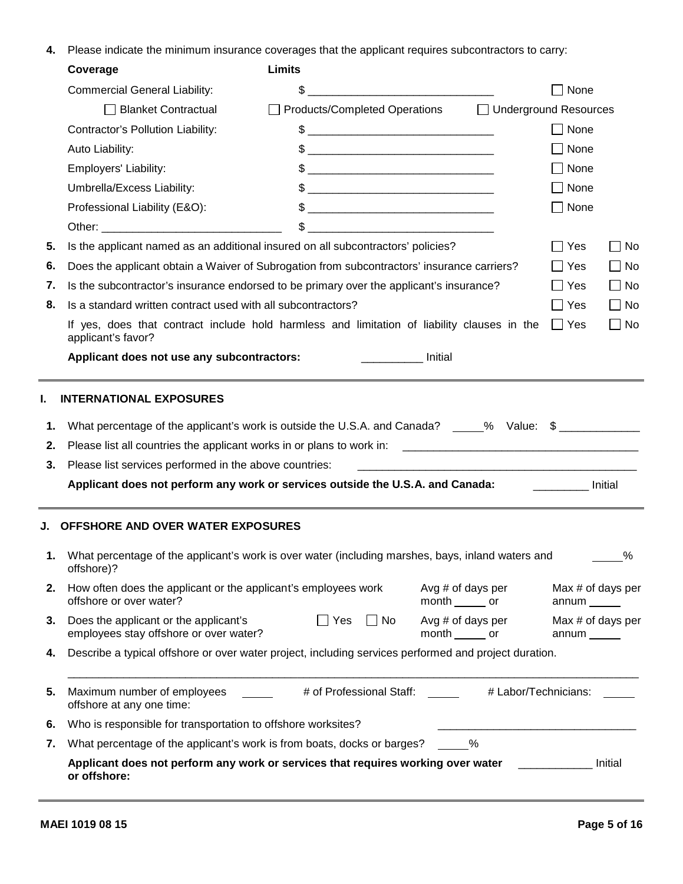**4.** Please indicate the minimum insurance coverages that the applicant requires subcontractors to carry:

| Coverage                                                                                     | <b>Limits</b>                                                                                                                                                                                                                                                                                                       |                                       |                            |           |
|----------------------------------------------------------------------------------------------|---------------------------------------------------------------------------------------------------------------------------------------------------------------------------------------------------------------------------------------------------------------------------------------------------------------------|---------------------------------------|----------------------------|-----------|
| <b>Commercial General Liability:</b>                                                         |                                                                                                                                                                                                                                                                                                                     |                                       | $\Box$ None                |           |
| Blanket Contractual                                                                          | □ Products/Completed Operations                                                                                                                                                                                                                                                                                     | □ Underground Resources               |                            |           |
| Contractor's Pollution Liability:                                                            | $\texttt{\$}$                                                                                                                                                                                                                                                                                                       |                                       | $\Box$ None                |           |
| Auto Liability:                                                                              |                                                                                                                                                                                                                                                                                                                     |                                       | $\Box$ None                |           |
| Employers' Liability:                                                                        | $\frac{1}{2}$                                                                                                                                                                                                                                                                                                       |                                       | $\Box$ None                |           |
| Umbrella/Excess Liability:                                                                   | $\sim$                                                                                                                                                                                                                                                                                                              |                                       | $\Box$ None                |           |
| Professional Liability (E&O):                                                                | $\frac{1}{2}$ $\frac{1}{2}$ $\frac{1}{2}$ $\frac{1}{2}$ $\frac{1}{2}$ $\frac{1}{2}$ $\frac{1}{2}$ $\frac{1}{2}$ $\frac{1}{2}$ $\frac{1}{2}$ $\frac{1}{2}$ $\frac{1}{2}$ $\frac{1}{2}$ $\frac{1}{2}$ $\frac{1}{2}$ $\frac{1}{2}$ $\frac{1}{2}$ $\frac{1}{2}$ $\frac{1}{2}$ $\frac{1}{2}$ $\frac{1}{2}$ $\frac{1}{2}$ |                                       | $\Box$ None                |           |
|                                                                                              |                                                                                                                                                                                                                                                                                                                     |                                       |                            |           |
|                                                                                              | 5. Is the applicant named as an additional insured on all subcontractors' policies?                                                                                                                                                                                                                                 |                                       | $\Box$ Yes                 | $\Box$ No |
|                                                                                              | 6. Does the applicant obtain a Waiver of Subrogation from subcontractors' insurance carriers?                                                                                                                                                                                                                       |                                       | $\Box$ Yes                 | $\Box$ No |
|                                                                                              | 7. Is the subcontractor's insurance endorsed to be primary over the applicant's insurance?                                                                                                                                                                                                                          |                                       | $\Box$ Yes                 | $\Box$ No |
| 8. Is a standard written contract used with all subcontractors?                              |                                                                                                                                                                                                                                                                                                                     |                                       | $\Box$ Yes                 | $\Box$ No |
| applicant's favor?                                                                           | If yes, does that contract include hold harmless and limitation of liability clauses in the $\Box$ Yes                                                                                                                                                                                                              |                                       |                            | $\Box$ No |
| Applicant does not use any subcontractors:                                                   | Initial                                                                                                                                                                                                                                                                                                             |                                       |                            |           |
| 3. Please list services performed in the above countries:                                    | Applicant does not perform any work or services outside the U.S.A. and Canada: [13] Initial                                                                                                                                                                                                                         |                                       |                            |           |
| J. OFFSHORE AND OVER WATER EXPOSURES                                                         |                                                                                                                                                                                                                                                                                                                     |                                       |                            |           |
| offshore)?                                                                                   | 1. What percentage of the applicant's work is over water (including marshes, bays, inland waters and                                                                                                                                                                                                                |                                       |                            | ℅         |
| 2. How often does the applicant or the applicant's employees work<br>offshore or over water? |                                                                                                                                                                                                                                                                                                                     | Avg # of days per<br>month _______ or | Max # of days per<br>annum |           |
| 3. Does the applicant or the applicant's<br>employees stay offshore or over water?           | $\Box$ Yes $\Box$ No                                                                                                                                                                                                                                                                                                | Avg # of days per<br>month _______ or | Max # of days per<br>annum |           |
|                                                                                              | 4. Describe a typical offshore or over water project, including services performed and project duration.                                                                                                                                                                                                            |                                       |                            |           |
| 5. Maximum number of employees<br>offshore at any one time:                                  | # of Professional Staff:                                                                                                                                                                                                                                                                                            | # Labor/Technicians:                  |                            |           |
| 6. Who is responsible for transportation to offshore worksites?                              |                                                                                                                                                                                                                                                                                                                     |                                       |                            |           |
| 7. What percentage of the applicant's work is from boats, docks or barges?                   |                                                                                                                                                                                                                                                                                                                     | %                                     |                            |           |
| or offshore:                                                                                 | Applicant does not perform any work or services that requires working over water                                                                                                                                                                                                                                    |                                       |                            | Initial   |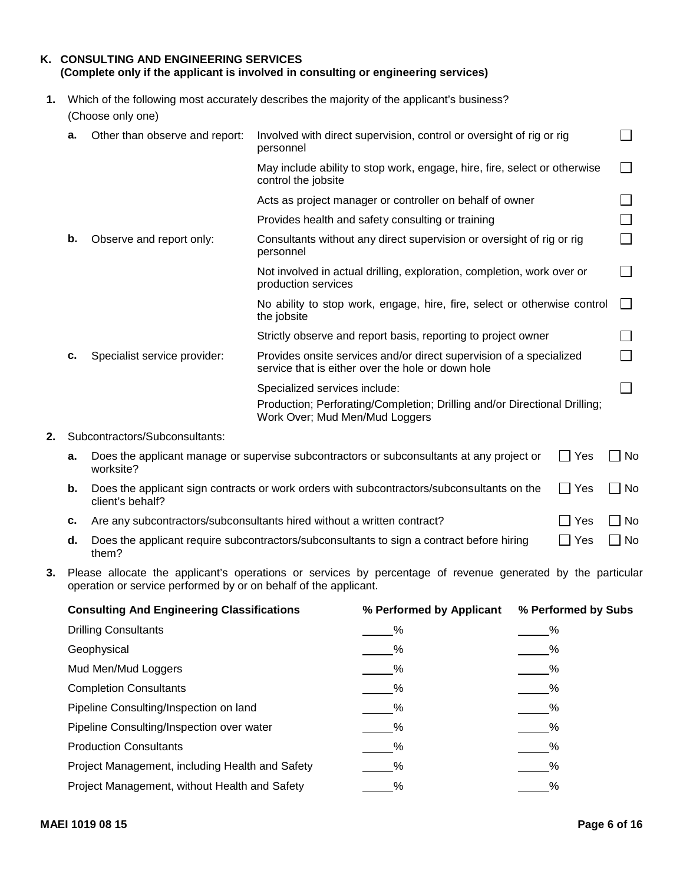| K. CONSULTING AND ENGINEERING SERVICES<br>(Complete only if the applicant is involved in consulting or engineering services) |
|------------------------------------------------------------------------------------------------------------------------------|
| Which of the following most accurately describes the majority of the applicant's business?                                   |

| (Choose only one) |  |  |
|-------------------|--|--|

| а. | Other than observe and report: | Involved with direct supervision, control or oversight of rig or rig<br>personnel                                                            |        |
|----|--------------------------------|----------------------------------------------------------------------------------------------------------------------------------------------|--------|
|    |                                | May include ability to stop work, engage, hire, fire, select or otherwise<br>control the jobsite                                             |        |
|    |                                | Acts as project manager or controller on behalf of owner                                                                                     |        |
|    |                                | Provides health and safety consulting or training                                                                                            |        |
| b. | Observe and report only:       | Consultants without any direct supervision or oversight of rig or rig<br>personnel                                                           |        |
|    |                                | Not involved in actual drilling, exploration, completion, work over or<br>production services                                                |        |
|    |                                | No ability to stop work, engage, hire, fire, select or otherwise control<br>the jobsite                                                      | $\Box$ |
|    |                                | Strictly observe and report basis, reporting to project owner                                                                                |        |
| c. | Specialist service provider:   | Provides onsite services and/or direct supervision of a specialized<br>service that is either over the hole or down hole                     |        |
|    |                                | Specialized services include:<br>Production; Perforating/Completion; Drilling and/or Directional Drilling;<br>Work Over; Mud Men/Mud Loggers |        |
|    |                                |                                                                                                                                              |        |

### **2.** Subcontractors/Subconsultants:

| а. | Does the applicant manage or supervise subcontractors or subconsultants at any project or | Yes | . No |
|----|-------------------------------------------------------------------------------------------|-----|------|
|    | worksite?                                                                                 |     |      |

- **b.** Does the applicant sign contracts or work orders with subcontractors/subconsultants on the  $\Box$  Yes client's behalf?  $\Box$  No
- **c.** Are any subcontractors/subconsultants hired without a written contract?  $\Box$  Yes  $\Box$  No
- **d.** Does the applicant require subcontractors/subconsultants to sign a contract before hiring  $\Box$  Yes them? them? The contract of the contract of the contract of the contract of the contract of the contract of the contract of the contract of the contract of the contract of the contract of the contract of the contract of the cont
- **3.** Please allocate the applicant's operations or services by percentage of revenue generated by the particular operation or service performed by or on behalf of the applicant.

| <b>Consulting And Engineering Classifications</b> | % Performed by Applicant | % Performed by Subs |
|---------------------------------------------------|--------------------------|---------------------|
| <b>Drilling Consultants</b>                       |                          |                     |
| Geophysical                                       | $\frac{9}{6}$            |                     |
| Mud Men/Mud Loggers                               | $\frac{9}{6}$            | $\frac{9}{6}$       |
| <b>Completion Consultants</b>                     | $\frac{\%}{\%}$          | $\frac{9}{6}$       |
| Pipeline Consulting/Inspection on land            | $\frac{9}{6}$            | $\frac{9}{6}$       |
| Pipeline Consulting/Inspection over water         | $\%$                     |                     |
| <b>Production Consultants</b>                     | $\frac{9}{6}$            |                     |
| Project Management, including Health and Safety   | $\frac{9}{6}$            |                     |
| Project Management, without Health and Safety     | %                        |                     |

 $\Box$  No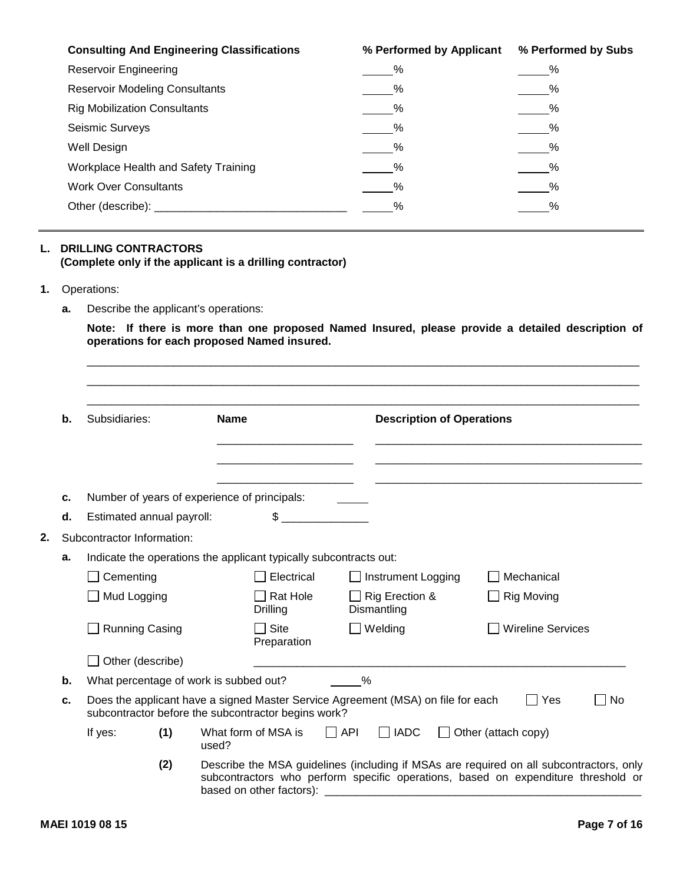| <b>Consulting And Engineering Classifications</b> | % Performed by Applicant | % Performed by Subs |
|---------------------------------------------------|--------------------------|---------------------|
| <b>Reservoir Engineering</b>                      |                          |                     |
| <b>Reservoir Modeling Consultants</b>             | $\frac{9}{6}$            | $\sim$ %            |
| <b>Rig Mobilization Consultants</b>               | $\frac{9}{6}$            | $\frac{9}{6}$       |
| Seismic Surveys                                   | $\%$                     | $\frac{9}{2}$       |
| Well Design                                       | %                        |                     |
| Workplace Health and Safety Training              | %                        |                     |
| <b>Work Over Consultants</b>                      |                          |                     |
| Other (describe):                                 |                          |                     |

## **L. DRILLING CONTRACTORS (Complete only if the applicant is a drilling contractor)**

#### **1.** Operations:

**a.** Describe the applicant's operations:

**Note: If there is more than one proposed Named Insured, please provide a detailed description of operations for each proposed Named insured.**

|    | b. | Subsidiaries:                          | <b>Name</b>                                                       | <b>Description of Operations</b>                                                 |                                                                                                                                                                              |
|----|----|----------------------------------------|-------------------------------------------------------------------|----------------------------------------------------------------------------------|------------------------------------------------------------------------------------------------------------------------------------------------------------------------------|
|    | c. |                                        | Number of years of experience of principals:                      |                                                                                  |                                                                                                                                                                              |
|    | d. | Estimated annual payroll:              | \$                                                                |                                                                                  |                                                                                                                                                                              |
| 2. |    | Subcontractor Information:             |                                                                   |                                                                                  |                                                                                                                                                                              |
|    | a. |                                        | Indicate the operations the applicant typically subcontracts out: |                                                                                  |                                                                                                                                                                              |
|    |    | $\Box$ Cementing                       | $\Box$ Electrical                                                 | □ Instrument Logging                                                             | $\Box$ Mechanical                                                                                                                                                            |
|    |    | Mud Logging                            | $\Box$ Rat Hole<br>Drilling                                       | □ Rig Erection &<br>Dismantling                                                  | $\Box$ Rig Moving                                                                                                                                                            |
|    |    | Running Casing                         | $\Box$ Site<br>Preparation                                        | $\Box$ Welding                                                                   | □ Wireline Services                                                                                                                                                          |
|    |    | $\Box$ Other (describe)                |                                                                   |                                                                                  |                                                                                                                                                                              |
|    | b. | What percentage of work is subbed out? |                                                                   | $\%$                                                                             |                                                                                                                                                                              |
|    | c. |                                        | subcontractor before the subcontractor begins work?               | Does the applicant have a signed Master Service Agreement (MSA) on file for each | $\Box$ Yes<br>$\Box$ No                                                                                                                                                      |
|    |    | (1)<br>If yes:                         | What form of MSA is<br>used?                                      | $\Box$ API<br>$\Box$ IADC                                                        | $\Box$ Other (attach copy)                                                                                                                                                   |
|    |    | (2)                                    | based on other factors):                                          |                                                                                  | Describe the MSA guidelines (including if MSAs are required on all subcontractors, only<br>subcontractors who perform specific operations, based on expenditure threshold or |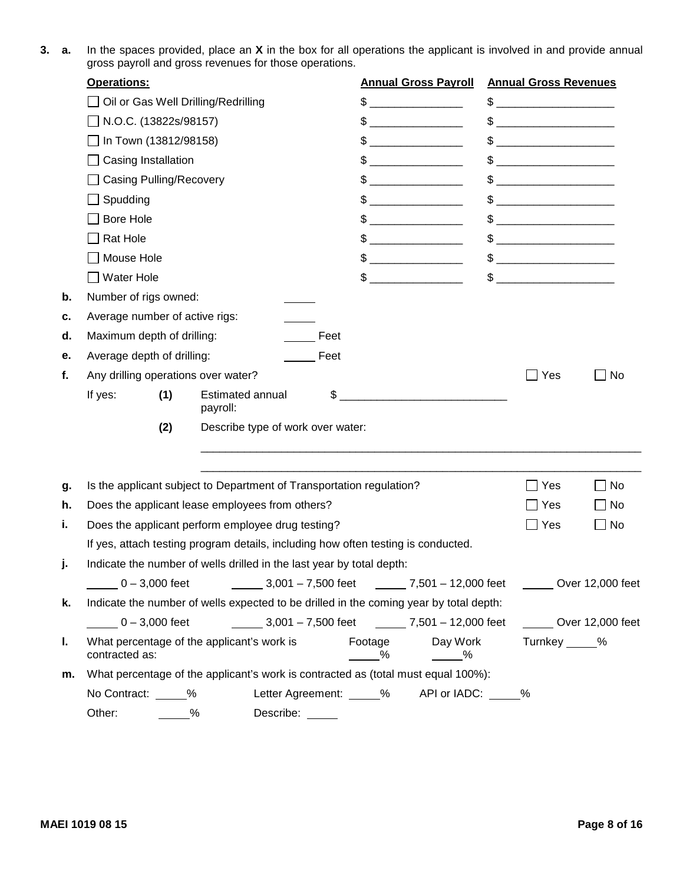**3. a.** In the spaces provided, place an **X** in the box for all operations the applicant is involved in and provide annual gross payroll and gross revenues for those operations.

|    | <b>Operations:</b>                                                                             | <b>Annual Gross Payroll</b>                                                                                                                                                                                                                                                                                         | <b>Annual Gross Revenues</b>                                                                                                                                                                                                                                                                                        |                  |
|----|------------------------------------------------------------------------------------------------|---------------------------------------------------------------------------------------------------------------------------------------------------------------------------------------------------------------------------------------------------------------------------------------------------------------------|---------------------------------------------------------------------------------------------------------------------------------------------------------------------------------------------------------------------------------------------------------------------------------------------------------------------|------------------|
|    | □ Oil or Gas Well Drilling/Redrilling                                                          |                                                                                                                                                                                                                                                                                                                     |                                                                                                                                                                                                                                                                                                                     |                  |
|    | □ N.O.C. (13822s/98157)                                                                        |                                                                                                                                                                                                                                                                                                                     |                                                                                                                                                                                                                                                                                                                     |                  |
|    | $\Box$ In Town (13812/98158)                                                                   |                                                                                                                                                                                                                                                                                                                     | $\frac{1}{2}$                                                                                                                                                                                                                                                                                                       |                  |
|    | $\Box$ Casing Installation                                                                     | $\mathfrak{S}$                                                                                                                                                                                                                                                                                                      |                                                                                                                                                                                                                                                                                                                     |                  |
|    | □ Casing Pulling/Recovery                                                                      |                                                                                                                                                                                                                                                                                                                     | $\mathbb S$                                                                                                                                                                                                                                                                                                         |                  |
|    | $\Box$ Spudding                                                                                |                                                                                                                                                                                                                                                                                                                     | $\frac{1}{2}$ $\frac{1}{2}$ $\frac{1}{2}$ $\frac{1}{2}$ $\frac{1}{2}$ $\frac{1}{2}$ $\frac{1}{2}$ $\frac{1}{2}$ $\frac{1}{2}$ $\frac{1}{2}$ $\frac{1}{2}$ $\frac{1}{2}$ $\frac{1}{2}$ $\frac{1}{2}$ $\frac{1}{2}$ $\frac{1}{2}$ $\frac{1}{2}$ $\frac{1}{2}$ $\frac{1}{2}$ $\frac{1}{2}$ $\frac{1}{2}$ $\frac{1}{2}$ |                  |
|    | $\Box$ Bore Hole                                                                               |                                                                                                                                                                                                                                                                                                                     |                                                                                                                                                                                                                                                                                                                     |                  |
|    | $\Box$ Rat Hole                                                                                | <u> 1989 - Jan James James Barbara, martx</u>                                                                                                                                                                                                                                                                       | $\frac{1}{2}$ $\frac{1}{2}$ $\frac{1}{2}$ $\frac{1}{2}$ $\frac{1}{2}$ $\frac{1}{2}$ $\frac{1}{2}$ $\frac{1}{2}$ $\frac{1}{2}$ $\frac{1}{2}$ $\frac{1}{2}$ $\frac{1}{2}$ $\frac{1}{2}$ $\frac{1}{2}$ $\frac{1}{2}$ $\frac{1}{2}$ $\frac{1}{2}$ $\frac{1}{2}$ $\frac{1}{2}$ $\frac{1}{2}$ $\frac{1}{2}$ $\frac{1}{2}$ |                  |
|    | □ Mouse Hole                                                                                   | $\frac{1}{2}$ $\frac{1}{2}$ $\frac{1}{2}$ $\frac{1}{2}$ $\frac{1}{2}$ $\frac{1}{2}$ $\frac{1}{2}$ $\frac{1}{2}$ $\frac{1}{2}$ $\frac{1}{2}$ $\frac{1}{2}$ $\frac{1}{2}$ $\frac{1}{2}$ $\frac{1}{2}$ $\frac{1}{2}$ $\frac{1}{2}$ $\frac{1}{2}$ $\frac{1}{2}$ $\frac{1}{2}$ $\frac{1}{2}$ $\frac{1}{2}$ $\frac{1}{2}$ |                                                                                                                                                                                                                                                                                                                     |                  |
|    | $\Box$ Water Hole                                                                              |                                                                                                                                                                                                                                                                                                                     | $\mathbb{S}$                                                                                                                                                                                                                                                                                                        |                  |
|    | Number of rigs owned:                                                                          |                                                                                                                                                                                                                                                                                                                     |                                                                                                                                                                                                                                                                                                                     |                  |
|    | Average number of active rigs:                                                                 |                                                                                                                                                                                                                                                                                                                     |                                                                                                                                                                                                                                                                                                                     |                  |
| d. | Maximum depth of drilling:<br>Feet                                                             |                                                                                                                                                                                                                                                                                                                     |                                                                                                                                                                                                                                                                                                                     |                  |
| е. | Average depth of drilling:<br>Feet                                                             |                                                                                                                                                                                                                                                                                                                     |                                                                                                                                                                                                                                                                                                                     |                  |
|    | Any drilling operations over water?                                                            |                                                                                                                                                                                                                                                                                                                     | $\Box$ Yes                                                                                                                                                                                                                                                                                                          | $\Box$ No        |
|    | (1)<br><b>Estimated annual</b><br>If yes:                                                      |                                                                                                                                                                                                                                                                                                                     |                                                                                                                                                                                                                                                                                                                     |                  |
|    | payroll:                                                                                       |                                                                                                                                                                                                                                                                                                                     |                                                                                                                                                                                                                                                                                                                     |                  |
|    | Describe type of work over water:<br>(2)                                                       |                                                                                                                                                                                                                                                                                                                     |                                                                                                                                                                                                                                                                                                                     |                  |
|    |                                                                                                |                                                                                                                                                                                                                                                                                                                     |                                                                                                                                                                                                                                                                                                                     |                  |
|    | Is the applicant subject to Department of Transportation regulation?                           |                                                                                                                                                                                                                                                                                                                     | $\Box$ Yes                                                                                                                                                                                                                                                                                                          | $\Box$ No        |
|    | Does the applicant lease employees from others?                                                |                                                                                                                                                                                                                                                                                                                     | $\Box$ Yes                                                                                                                                                                                                                                                                                                          | $\Box$ No        |
|    | Does the applicant perform employee drug testing?                                              |                                                                                                                                                                                                                                                                                                                     | $\Box$ Yes                                                                                                                                                                                                                                                                                                          | $\Box$ No        |
|    | If yes, attach testing program details, including how often testing is conducted.              |                                                                                                                                                                                                                                                                                                                     |                                                                                                                                                                                                                                                                                                                     |                  |
|    | Indicate the number of wells drilled in the last year by total depth:                          |                                                                                                                                                                                                                                                                                                                     |                                                                                                                                                                                                                                                                                                                     |                  |
|    | $-0 - 3,000$ feet<br>3,001 - 7,500 feet ________ 7,501 - 12,000 feet ________ Over 12,000 feet |                                                                                                                                                                                                                                                                                                                     |                                                                                                                                                                                                                                                                                                                     |                  |
|    | Indicate the number of wells expected to be drilled in the coming year by total depth:         |                                                                                                                                                                                                                                                                                                                     |                                                                                                                                                                                                                                                                                                                     |                  |
|    | $0 - 3,000$ feet<br>3,001 - 7,500 feet 7,501 - 12,000 feet                                     |                                                                                                                                                                                                                                                                                                                     |                                                                                                                                                                                                                                                                                                                     | Over 12,000 feet |
|    | What percentage of the applicant's work is<br>contracted as:                                   | Day Work<br>Footage<br>%<br>$\frac{9}{6}$                                                                                                                                                                                                                                                                           | Turnkey _____%                                                                                                                                                                                                                                                                                                      |                  |
|    | m. What percentage of the applicant's work is contracted as (total must equal 100%):           |                                                                                                                                                                                                                                                                                                                     |                                                                                                                                                                                                                                                                                                                     |                  |
|    | No Contract: _____%                                                                            | Letter Agreement: _____% API or IADC: _____%                                                                                                                                                                                                                                                                        |                                                                                                                                                                                                                                                                                                                     |                  |
|    | Other:<br>Describe:<br>%                                                                       |                                                                                                                                                                                                                                                                                                                     |                                                                                                                                                                                                                                                                                                                     |                  |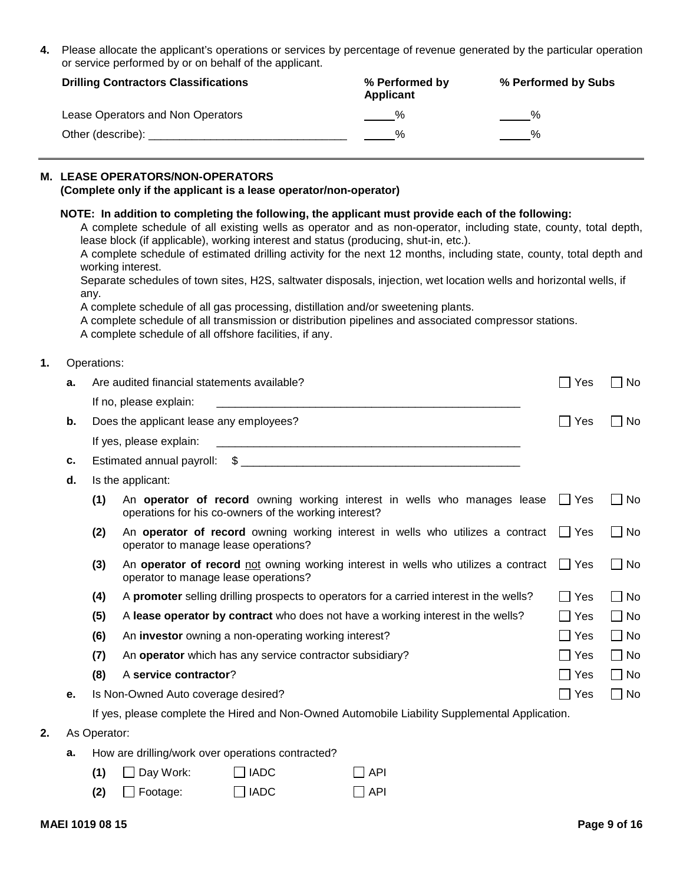**4.** Please allocate the applicant's operations or services by percentage of revenue generated by the particular operation or service performed by or on behalf of the applicant.

| <b>Drilling Contractors Classifications</b> | % Performed by<br>Applicant | % Performed by Subs |
|---------------------------------------------|-----------------------------|---------------------|
| Lease Operators and Non Operators           |                             |                     |
| Other (describe):                           |                             |                     |

## **M. LEASE OPERATORS/NON-OPERATORS**

#### **(Complete only if the applicant is a lease operator/non-operator)**

|    |    | any.                                    | working interest.<br>A complete schedule of all offshore facilities, if any. |             | NOTE: In addition to completing the following, the applicant must provide each of the following:<br>A complete schedule of all existing wells as operator and as non-operator, including state, county, total depth,<br>lease block (if applicable), working interest and status (producing, shut-in, etc.).<br>A complete schedule of estimated drilling activity for the next 12 months, including state, county, total depth and<br>Separate schedules of town sites, H2S, saltwater disposals, injection, wet location wells and horizontal wells, if<br>A complete schedule of all gas processing, distillation and/or sweetening plants.<br>A complete schedule of all transmission or distribution pipelines and associated compressor stations. |            |           |
|----|----|-----------------------------------------|------------------------------------------------------------------------------|-------------|---------------------------------------------------------------------------------------------------------------------------------------------------------------------------------------------------------------------------------------------------------------------------------------------------------------------------------------------------------------------------------------------------------------------------------------------------------------------------------------------------------------------------------------------------------------------------------------------------------------------------------------------------------------------------------------------------------------------------------------------------------|------------|-----------|
|    |    | Operations:                             |                                                                              |             |                                                                                                                                                                                                                                                                                                                                                                                                                                                                                                                                                                                                                                                                                                                                                         |            |           |
|    | а. |                                         | Are audited financial statements available?                                  |             |                                                                                                                                                                                                                                                                                                                                                                                                                                                                                                                                                                                                                                                                                                                                                         | $\Box$ Yes | $\Box$ No |
|    |    |                                         | If no, please explain:                                                       |             |                                                                                                                                                                                                                                                                                                                                                                                                                                                                                                                                                                                                                                                                                                                                                         |            |           |
|    | b. | Does the applicant lease any employees? |                                                                              |             |                                                                                                                                                                                                                                                                                                                                                                                                                                                                                                                                                                                                                                                                                                                                                         |            | $\Box$ No |
|    |    |                                         | If yes, please explain:                                                      |             |                                                                                                                                                                                                                                                                                                                                                                                                                                                                                                                                                                                                                                                                                                                                                         |            |           |
|    | с. |                                         |                                                                              |             |                                                                                                                                                                                                                                                                                                                                                                                                                                                                                                                                                                                                                                                                                                                                                         |            |           |
|    | d. |                                         | Is the applicant:                                                            |             |                                                                                                                                                                                                                                                                                                                                                                                                                                                                                                                                                                                                                                                                                                                                                         |            |           |
|    |    | (1)                                     | operations for his co-owners of the working interest?                        |             | An operator of record owning working interest in wells who manages lease T Yes                                                                                                                                                                                                                                                                                                                                                                                                                                                                                                                                                                                                                                                                          |            | $\Box$ No |
|    |    | (2)                                     | operator to manage lease operations?                                         |             | An operator of record owning working interest in wells who utilizes a contract $\Box$ Yes                                                                                                                                                                                                                                                                                                                                                                                                                                                                                                                                                                                                                                                               |            | $\Box$ No |
|    |    | (3)                                     | operator to manage lease operations?                                         |             | An operator of record not owning working interest in wells who utilizes a contract $\Box$ Yes                                                                                                                                                                                                                                                                                                                                                                                                                                                                                                                                                                                                                                                           |            | $\Box$ No |
|    |    | (4)                                     |                                                                              |             | A promoter selling drilling prospects to operators for a carried interest in the wells?                                                                                                                                                                                                                                                                                                                                                                                                                                                                                                                                                                                                                                                                 | $\Box$ Yes | $\Box$ No |
|    |    | (5)                                     |                                                                              |             | A lease operator by contract who does not have a working interest in the wells?                                                                                                                                                                                                                                                                                                                                                                                                                                                                                                                                                                                                                                                                         | $\Box$ Yes | $\Box$ No |
|    |    | (6)                                     | An investor owning a non-operating working interest?                         |             |                                                                                                                                                                                                                                                                                                                                                                                                                                                                                                                                                                                                                                                                                                                                                         | $\Box$ Yes | $\Box$ No |
|    |    | (7)                                     |                                                                              |             | An operator which has any service contractor subsidiary?                                                                                                                                                                                                                                                                                                                                                                                                                                                                                                                                                                                                                                                                                                | $\Box$ Yes | $\Box$ No |
|    |    | (8)                                     | A service contractor?                                                        |             |                                                                                                                                                                                                                                                                                                                                                                                                                                                                                                                                                                                                                                                                                                                                                         | $\Box$ Yes | $\Box$ No |
|    |    |                                         | Is Non-Owned Auto coverage desired?                                          |             |                                                                                                                                                                                                                                                                                                                                                                                                                                                                                                                                                                                                                                                                                                                                                         | $\Box$ Yes | $\Box$ No |
|    |    |                                         |                                                                              |             | If yes, please complete the Hired and Non-Owned Automobile Liability Supplemental Application.                                                                                                                                                                                                                                                                                                                                                                                                                                                                                                                                                                                                                                                          |            |           |
| 2. |    | As Operator:                            |                                                                              |             |                                                                                                                                                                                                                                                                                                                                                                                                                                                                                                                                                                                                                                                                                                                                                         |            |           |
|    | а. |                                         | How are drilling/work over operations contracted?                            |             |                                                                                                                                                                                                                                                                                                                                                                                                                                                                                                                                                                                                                                                                                                                                                         |            |           |
|    |    | (1)                                     | $\Box$ Day Work:                                                             | $\Box$ IADC | $\Box$ API                                                                                                                                                                                                                                                                                                                                                                                                                                                                                                                                                                                                                                                                                                                                              |            |           |
|    |    | (2)                                     | $\Box$ Footage:                                                              | $\Box$ IADC | $\Box$ API                                                                                                                                                                                                                                                                                                                                                                                                                                                                                                                                                                                                                                                                                                                                              |            |           |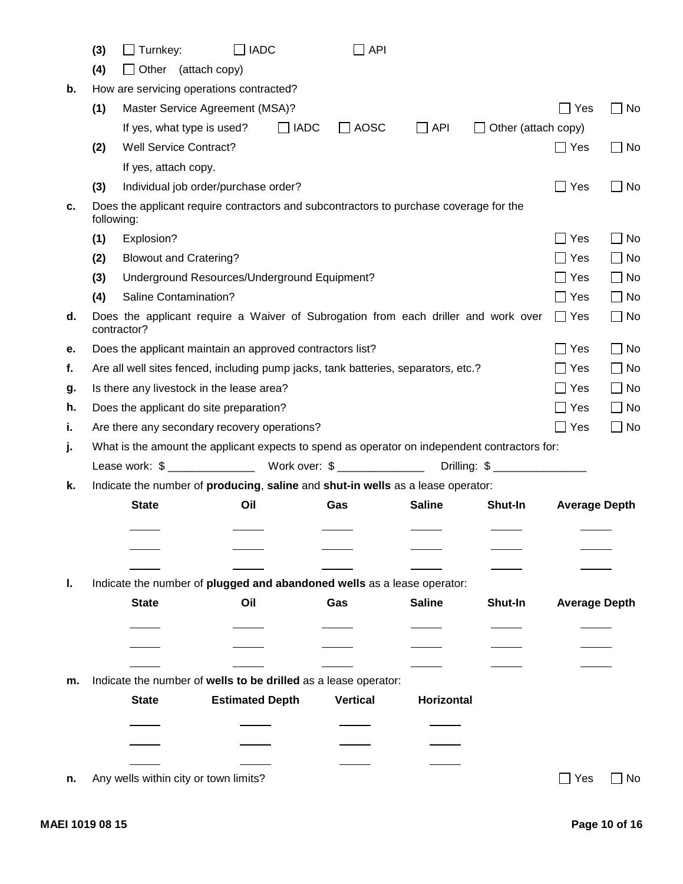|    | (3)        | $\Box$ Turnkey:                                                                                   | $\Box$ IADC            |             | $\Box$ API      |               |                            |                      |              |
|----|------------|---------------------------------------------------------------------------------------------------|------------------------|-------------|-----------------|---------------|----------------------------|----------------------|--------------|
|    | (4)        | Other (attach copy)                                                                               |                        |             |                 |               |                            |                      |              |
| b. |            | How are servicing operations contracted?                                                          |                        |             |                 |               |                            |                      |              |
|    | (1)        | Master Service Agreement (MSA)?                                                                   |                        |             |                 |               |                            | $\Box$ Yes           | $\Box$ No    |
|    |            | If yes, what type is used?                                                                        |                        | $\Box$ IADC | $\Box$ AOSC     | $\Box$ API    | $\Box$ Other (attach copy) |                      |              |
|    | (2)        | <b>Well Service Contract?</b>                                                                     |                        |             |                 |               |                            | $\Box$ Yes           | $\Box$ No    |
|    |            | If yes, attach copy.                                                                              |                        |             |                 |               |                            |                      |              |
|    | (3)        | Individual job order/purchase order?                                                              |                        |             |                 |               |                            | $\Box$ Yes           | $\Box$ No    |
| С. | following: | Does the applicant require contractors and subcontractors to purchase coverage for the            |                        |             |                 |               |                            |                      |              |
|    | (1)        | Explosion?                                                                                        |                        |             |                 |               |                            | $\Box$ Yes           | $\Box$ No    |
|    | (2)        | <b>Blowout and Cratering?</b>                                                                     |                        |             |                 |               |                            | $\Box$ Yes           | $\Box$ No    |
|    | (3)        | Underground Resources/Underground Equipment?                                                      |                        |             |                 |               |                            | $\Box$ Yes           | $\square$ No |
|    | (4)        | Saline Contamination?                                                                             |                        |             |                 |               |                            | $\Box$ Yes           | $\Box$ No    |
| d. |            | Does the applicant require a Waiver of Subrogation from each driller and work over<br>contractor? |                        |             |                 |               |                            | $\Box$ Yes           | $\Box$ No    |
| е. |            | Does the applicant maintain an approved contractors list?                                         |                        |             |                 |               |                            | $\Box$ Yes           | $\Box$ No    |
| f. |            | Are all well sites fenced, including pump jacks, tank batteries, separators, etc.?                |                        |             |                 |               |                            | $\Box$ Yes           | $\Box$ No    |
| g. |            | Is there any livestock in the lease area?                                                         |                        |             |                 |               |                            | $\Box$ Yes           | $\Box$ No    |
| h. |            | Does the applicant do site preparation?                                                           |                        |             |                 |               |                            | $\Box$ Yes           | $\Box$ No    |
| ι. |            | Are there any secondary recovery operations?                                                      |                        |             |                 |               |                            | $\Box$ Yes           | $\Box$ No    |
| j. |            | What is the amount the applicant expects to spend as operator on independent contractors for:     |                        |             |                 |               |                            |                      |              |
|    |            |                                                                                                   |                        |             |                 |               |                            |                      |              |
| k. |            | Indicate the number of producing, saline and shut-in wells as a lease operator:                   |                        |             |                 |               |                            |                      |              |
|    |            | <b>State</b>                                                                                      | Oil                    |             | Gas             | <b>Saline</b> | <b>Shut-In</b>             | <b>Average Depth</b> |              |
|    |            |                                                                                                   |                        |             |                 |               |                            |                      |              |
|    |            |                                                                                                   |                        |             |                 |               |                            |                      |              |
|    |            |                                                                                                   |                        |             |                 |               |                            |                      |              |
| L. |            | Indicate the number of plugged and abandoned wells as a lease operator:                           |                        |             |                 |               |                            |                      |              |
|    |            | <b>State</b>                                                                                      | Oil                    |             | Gas             | <b>Saline</b> | <b>Shut-In</b>             | <b>Average Depth</b> |              |
|    |            |                                                                                                   |                        |             |                 |               |                            |                      |              |
|    |            |                                                                                                   |                        |             |                 |               |                            |                      |              |
|    |            |                                                                                                   |                        |             |                 |               |                            |                      |              |
| m. |            | Indicate the number of wells to be drilled as a lease operator:                                   |                        |             |                 |               |                            |                      |              |
|    |            | <b>State</b>                                                                                      | <b>Estimated Depth</b> |             | <b>Vertical</b> | Horizontal    |                            |                      |              |
|    |            |                                                                                                   |                        |             |                 |               |                            |                      |              |
|    |            |                                                                                                   |                        |             |                 |               |                            |                      |              |
|    |            |                                                                                                   |                        |             |                 |               |                            |                      |              |
| n. |            | Any wells within city or town limits?                                                             |                        |             |                 |               |                            | $\Box$ Yes $\Box$ No |              |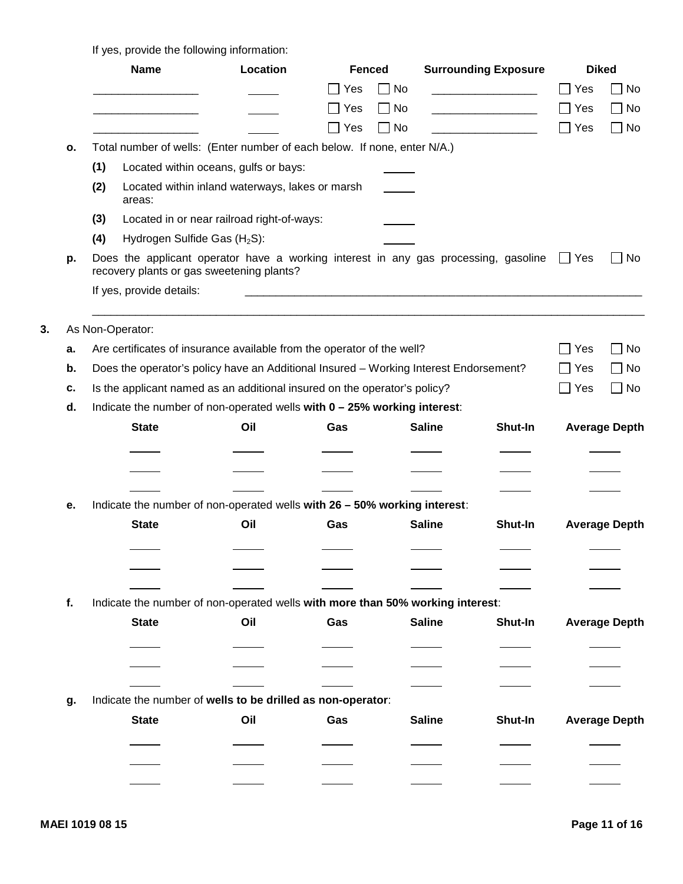If yes, provide the following information:

|    |    | <b>Name</b>                                                                                                                                 | Location                                        | <b>Fenced</b> |               | <b>Surrounding Exposure</b> |            | <b>Diked</b>         |
|----|----|---------------------------------------------------------------------------------------------------------------------------------------------|-------------------------------------------------|---------------|---------------|-----------------------------|------------|----------------------|
|    |    |                                                                                                                                             |                                                 | $\Box$ Yes    | $\Box$ No     |                             | $\Box$ Yes | $\Box$ No            |
|    |    |                                                                                                                                             |                                                 | $\Box$ Yes    | $\Box$ No     |                             | $\Box$ Yes | $\Box$ No            |
|    |    |                                                                                                                                             |                                                 | $\Box$ Yes    | $\Box$ No     |                             | $\Box$ Yes | $\Box$ No            |
|    | 0. | Total number of wells: (Enter number of each below. If none, enter N/A.)                                                                    |                                                 |               |               |                             |            |                      |
|    |    | (1)                                                                                                                                         | Located within oceans, gulfs or bays:           |               |               |                             |            |                      |
|    |    | (2)<br>areas:                                                                                                                               | Located within inland waterways, lakes or marsh |               |               |                             |            |                      |
|    |    | (3)                                                                                                                                         | Located in or near railroad right-of-ways:      |               |               |                             |            |                      |
|    |    | Hydrogen Sulfide Gas (H <sub>2</sub> S):<br>(4)                                                                                             |                                                 |               |               |                             |            |                      |
|    | р. | Does the applicant operator have a working interest in any gas processing, gasoline $\Box$ Yes<br>recovery plants or gas sweetening plants? |                                                 |               |               |                             |            | $\Box$ No            |
|    |    | If yes, provide details:                                                                                                                    |                                                 |               |               |                             |            |                      |
|    |    |                                                                                                                                             |                                                 |               |               |                             |            |                      |
| 3. |    | As Non-Operator:                                                                                                                            |                                                 |               |               |                             |            |                      |
|    | а. | Are certificates of insurance available from the operator of the well?                                                                      |                                                 |               |               |                             | $\Box$ Yes | $\Box$ No            |
|    | b. | Does the operator's policy have an Additional Insured - Working Interest Endorsement?                                                       |                                                 |               |               |                             | $\Box$ Yes | $\Box$ No            |
|    | c. | Is the applicant named as an additional insured on the operator's policy?                                                                   |                                                 |               |               |                             | $\Box$ Yes | $\Box$ No            |
|    | d. | Indicate the number of non-operated wells with 0 - 25% working interest:                                                                    |                                                 |               |               |                             |            |                      |
|    |    | <b>State</b>                                                                                                                                | Oil                                             | Gas           | <b>Saline</b> | Shut-In                     |            | <b>Average Depth</b> |
|    |    |                                                                                                                                             |                                                 |               |               |                             |            |                      |
|    |    |                                                                                                                                             |                                                 |               |               |                             |            |                      |
|    |    |                                                                                                                                             |                                                 |               |               |                             |            |                      |
|    | е. | Indicate the number of non-operated wells with 26 - 50% working interest:                                                                   |                                                 |               |               |                             |            |                      |
|    |    | <b>State</b>                                                                                                                                | Oil                                             | Gas           | <b>Saline</b> | Shut-In                     |            | <b>Average Depth</b> |
|    |    |                                                                                                                                             |                                                 |               |               |                             |            |                      |
|    |    |                                                                                                                                             |                                                 |               |               |                             |            |                      |
|    |    |                                                                                                                                             |                                                 |               |               |                             |            |                      |
|    | f. | Indicate the number of non-operated wells with more than 50% working interest:                                                              |                                                 |               |               |                             |            |                      |
|    |    | <b>State</b>                                                                                                                                | Oil                                             | Gas           | <b>Saline</b> | Shut-In                     |            | <b>Average Depth</b> |
|    |    |                                                                                                                                             |                                                 |               |               |                             |            |                      |
|    |    |                                                                                                                                             |                                                 |               |               |                             |            |                      |
|    |    |                                                                                                                                             |                                                 |               |               |                             |            |                      |
|    |    | Indicate the number of wells to be drilled as non-operator:                                                                                 |                                                 |               |               |                             |            |                      |
|    | g. |                                                                                                                                             |                                                 |               | <b>Saline</b> |                             |            |                      |
|    |    | <b>State</b>                                                                                                                                | Oil                                             | Gas           |               | Shut-In                     |            | <b>Average Depth</b> |
|    |    |                                                                                                                                             |                                                 |               |               |                             |            |                      |
|    |    |                                                                                                                                             |                                                 |               |               |                             |            |                      |
|    |    |                                                                                                                                             |                                                 |               |               |                             |            |                      |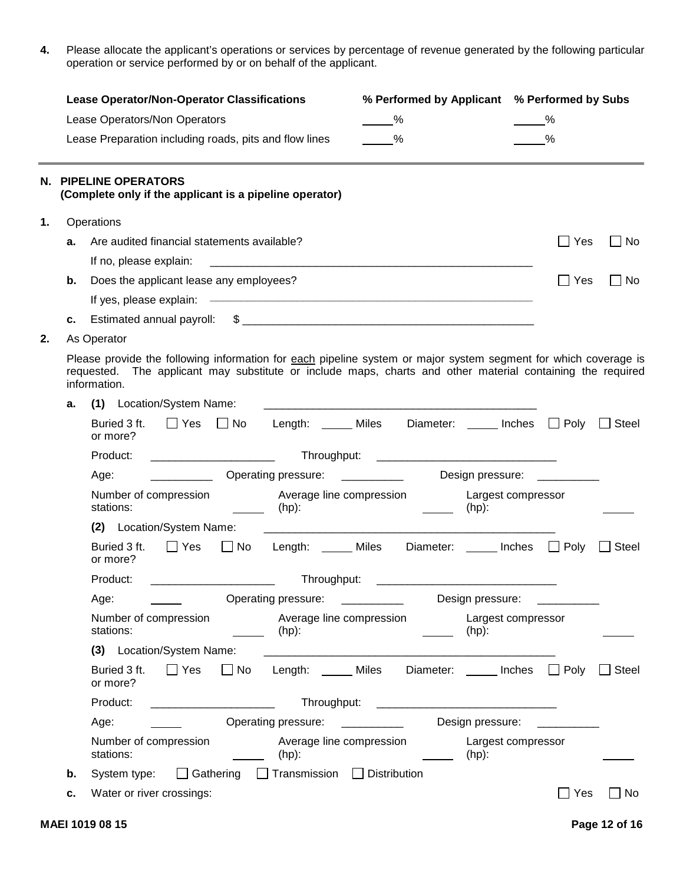**4.** Please allocate the applicant's operations or services by percentage of revenue generated by the following particular operation or service performed by or on behalf of the applicant.

|    |    | <b>Lease Operator/Non-Operator Classifications</b><br>Lease Operators/Non Operators<br>Lease Preparation including roads, pits and flow lines | % Performed by Applicant % Performed by Subs<br>$\frac{9}{6}$<br>%                                                                                                                                                            |                                | %                        |           |
|----|----|-----------------------------------------------------------------------------------------------------------------------------------------------|-------------------------------------------------------------------------------------------------------------------------------------------------------------------------------------------------------------------------------|--------------------------------|--------------------------|-----------|
|    |    | N. PIPELINE OPERATORS<br>(Complete only if the applicant is a pipeline operator)                                                              |                                                                                                                                                                                                                               |                                |                          |           |
|    |    | 1. Operations                                                                                                                                 |                                                                                                                                                                                                                               |                                |                          |           |
|    | а. | Are audited financial statements available?                                                                                                   |                                                                                                                                                                                                                               |                                | $\Box$ Yes               | $\Box$ No |
|    |    |                                                                                                                                               |                                                                                                                                                                                                                               |                                |                          |           |
|    | b. | Does the applicant lease any employees?                                                                                                       |                                                                                                                                                                                                                               |                                | $\Box$ Yes               | $\Box$ No |
|    |    |                                                                                                                                               |                                                                                                                                                                                                                               |                                |                          |           |
|    | C. |                                                                                                                                               |                                                                                                                                                                                                                               |                                |                          |           |
| 2. |    | As Operator                                                                                                                                   |                                                                                                                                                                                                                               |                                |                          |           |
|    |    | information.                                                                                                                                  | Please provide the following information for each pipeline system or major system segment for which coverage is<br>requested. The applicant may substitute or include maps, charts and other material containing the required |                                |                          |           |
|    | а. | Location/System Name:<br>(1)                                                                                                                  |                                                                                                                                                                                                                               |                                |                          |           |
|    |    | Buried 3 ft.<br>or more?                                                                                                                      | □ Yes □ No Length: _____ Miles Diameter: _____ Inches □ Poly □ Steel                                                                                                                                                          |                                |                          |           |
|    |    | Product:                                                                                                                                      |                                                                                                                                                                                                                               |                                |                          |           |
|    |    | Age:                                                                                                                                          |                                                                                                                                                                                                                               | Design pressure: __________    |                          |           |
|    |    | Number of compression<br>stations:                                                                                                            | Average line compression<br>(hp):                                                                                                                                                                                             | Largest compressor<br>(hp):    |                          |           |
|    |    | Location/System Name:<br>(2)                                                                                                                  | <u> 1980 - Jan Barnett, mars ann an t-Amhainn an t-Amhainn an t-Amhainn an t-Amhainn an t-Amhainn an t-Amhainn an </u>                                                                                                        |                                |                          |           |
|    |    | Buried 3 ft.<br>or more?                                                                                                                      | □ Yes □ No Length: _____ Miles Diameter: _____ Inches □ Poly □ Steel                                                                                                                                                          |                                |                          |           |
|    |    | Product:<br><u> 1980 - Andrea Albert III, poet al III de la construcción de la construcción de la construcción de la constru</u>              |                                                                                                                                                                                                                               |                                |                          |           |
|    |    | Age:                                                                                                                                          | Operating pressure:                                                                                                                                                                                                           | Design pressure:               |                          |           |
|    |    | Number of compression<br>stations:                                                                                                            | Average line compression<br>(hp):                                                                                                                                                                                             | Largest compressor<br>$(hp)$ : |                          |           |
|    |    | (3) Location/System Name:                                                                                                                     |                                                                                                                                                                                                                               |                                |                          |           |
|    |    | $\square$ Yes<br>Buried 3 ft.<br>$\Box$ No<br>or more?                                                                                        | Length: ______ Miles<br>Diameter:                                                                                                                                                                                             | Inches                         | $\Box$ Poly $\Box$ Steel |           |
|    |    | Product:                                                                                                                                      | Throughput:                                                                                                                                                                                                                   |                                |                          |           |
|    |    | Age:                                                                                                                                          | Operating pressure:                                                                                                                                                                                                           | Design pressure:               |                          |           |
|    |    | Number of compression<br>stations:                                                                                                            | Average line compression<br>$(hp)$ :                                                                                                                                                                                          | Largest compressor<br>$(hp)$ : |                          |           |
|    |    | System type: □ Gathering                                                                                                                      | $\Box$ Transmission $\Box$ Distribution                                                                                                                                                                                       |                                |                          |           |
|    |    | Water or river crossings:                                                                                                                     |                                                                                                                                                                                                                               |                                | $\Box$ Yes               | $\Box$ No |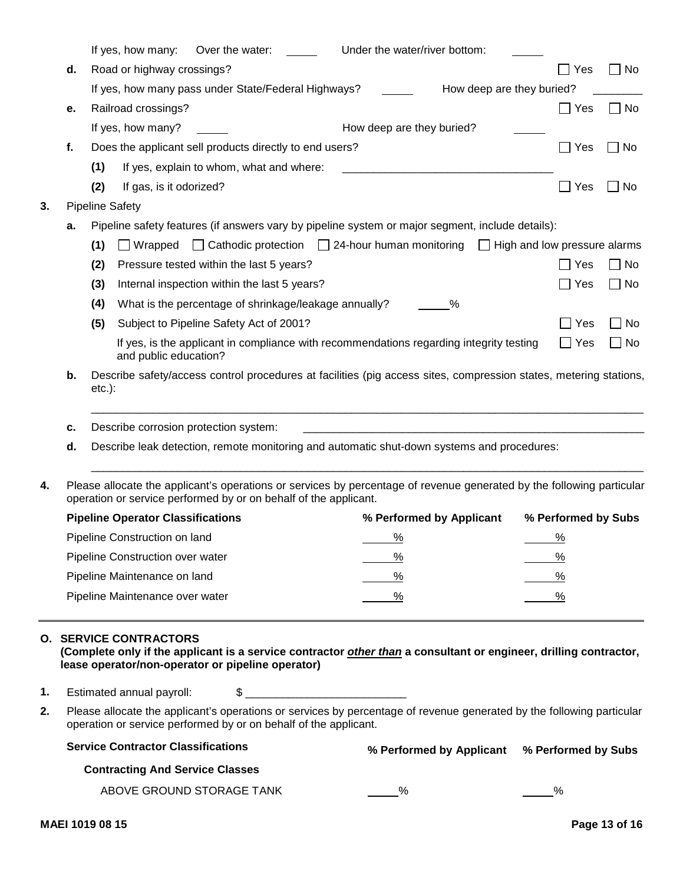|    | Under the water/river bottom:<br>If yes, how many: Over the water:                                                             |              |             |
|----|--------------------------------------------------------------------------------------------------------------------------------|--------------|-------------|
| d. | Road or highway crossings?                                                                                                     | $\sqcap$ Yes | $\Box$ No   |
|    | If yes, how many pass under State/Federal Highways?<br>How deep are they buried?                                               |              |             |
| е. | Railroad crossings?                                                                                                            | $\Box$ Yes   | $\Box$ No   |
|    | If yes, how many?<br>How deep are they buried?                                                                                 |              |             |
|    | Does the applicant sell products directly to end users?                                                                        | $\Box$ Yes   | $\sqcap$ No |
|    | If yes, explain to whom, what and where:<br>(1)                                                                                |              |             |
|    | If gas, is it odorized?<br>(2)                                                                                                 | $\Box$ Yes   | $\Box$ No   |
|    | <b>Pipeline Safety</b>                                                                                                         |              |             |
| а. | Pipeline safety features (if answers vary by pipeline system or major segment, include details):                               |              |             |
|    | $\Box$ Wrapped $\Box$ Cathodic protection $\Box$ 24-hour human monitoring $\Box$ High and low pressure alarms<br>(1)           |              |             |
|    | Pressure tested within the last 5 years?<br>(2)                                                                                | $\Box$ Yes   | $\Box$ No   |
|    | Internal inspection within the last 5 years?<br>(3)                                                                            | $\Box$ Yes   | $\Box$ No   |
|    | What is the percentage of shrinkage/leakage annually?<br>(4)<br>%                                                              |              |             |
|    | Subject to Pipeline Safety Act of 2001?<br>(5)                                                                                 | $\Box$ Yes   | $\Box$ No   |
|    | If yes, is the applicant in compliance with recommendations regarding integrity testing<br>and public education?               | $\Box$ Yes   | $\Box$ No   |
| b. | Describe safety/access control procedures at facilities (pig access sites, compression states, metering stations,<br>$etc.$ ): |              |             |
| c. | Describe corrosion protection system:                                                                                          |              |             |
| d. | Describe leak detection, remote monitoring and automatic shut-down systems and procedures:                                     |              |             |

| % Performed by Applicant | % Performed by Subs |
|--------------------------|---------------------|
|                          |                     |
|                          |                     |
|                          |                     |
|                          |                     |
|                          |                     |

### **O. SERVICE CONTRACTORS**

**(Complete only if the applicant is a service contractor other than a consultant or engineer, drilling contractor, lease operator/non-operator or pipeline operator)**

- **1.** Estimated annual payroll:  $\qquad \qquad$  \$
- **2.** Please allocate the applicant's operations or services by percentage of revenue generated by the following particular operation or service performed by or on behalf of the applicant.

| <b>Service Contractor Classifications</b> | % Performed by Applicant % Performed by Subs |  |
|-------------------------------------------|----------------------------------------------|--|
| <b>Contracting And Service Classes</b>    |                                              |  |
| ABOVE GROUND STORAGE TANK                 |                                              |  |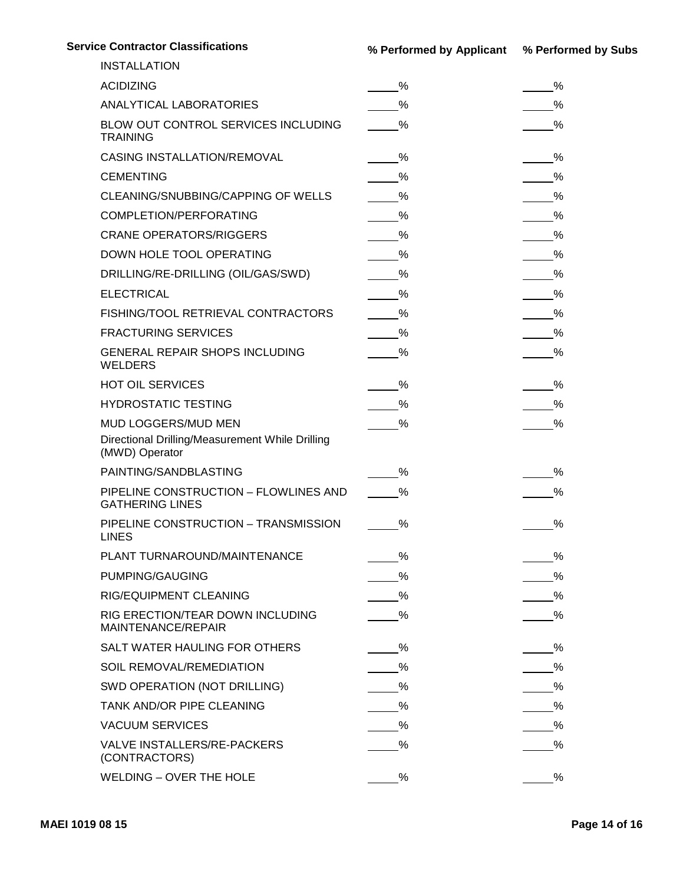| <b>Service Contractor Classifications</b>                         | % Performed by Applicant % Performed by Subs |                |
|-------------------------------------------------------------------|----------------------------------------------|----------------|
| <b>INSTALLATION</b>                                               |                                              |                |
| <b>ACIDIZING</b>                                                  | %                                            | %              |
| ANALYTICAL LABORATORIES                                           |                                              |                |
| BLOW OUT CONTROL SERVICES INCLUDING<br><b>TRAINING</b>            | %                                            |                |
| CASING INSTALLATION/REMOVAL                                       | %                                            | $\%$           |
| <b>CEMENTING</b>                                                  | $-$ %                                        | $\frac{9}{6}$  |
| CLEANING/SNUBBING/CAPPING OF WELLS                                | $\frac{9}{6}$                                | $-$ %          |
| COMPLETION/PERFORATING                                            | $\%$                                         | $\frac{9}{6}$  |
| <b>CRANE OPERATORS/RIGGERS</b>                                    | $\frac{9}{6}$                                | $-\frac{9}{6}$ |
| DOWN HOLE TOOL OPERATING                                          | $\%$                                         | $\%$           |
| DRILLING/RE-DRILLING (OIL/GAS/SWD)                                | $\frac{9}{6}$                                |                |
| <b>ELECTRICAL</b>                                                 | $\frac{9}{6}$                                | $\frac{9}{6}$  |
| FISHING/TOOL RETRIEVAL CONTRACTORS                                | $-$ %                                        | $-$ %          |
| <b>FRACTURING SERVICES</b>                                        | %                                            | $\frac{9}{6}$  |
| GENERAL REPAIR SHOPS INCLUDING<br>WELDERS                         | $\%$                                         | $\%$           |
| HOT OIL SERVICES                                                  | $\frac{9}{6}$                                | %              |
| HYDROSTATIC TESTING                                               | $\frac{9}{6}$                                | $\frac{9}{6}$  |
| MUD LOGGERS/MUD MEN                                               | $\frac{9}{6}$                                | $\%$           |
| Directional Drilling/Measurement While Drilling<br>(MWD) Operator |                                              |                |
| PAINTING/SANDBLASTING                                             | %                                            | %              |
| PIPELINE CONSTRUCTION - FLOWLINES AND<br><b>GATHERING LINES</b>   | %                                            |                |
| PIPELINE CONSTRUCTION - TRANSMISSION<br><b>LINES</b>              | $\frac{9}{6}$                                | %              |
| PLANT TURNAROUND/MAINTENANCE                                      | %                                            |                |
| PUMPING/GAUGING                                                   | $\%$                                         |                |
| RIG/EQUIPMENT CLEANING                                            | $\%$                                         |                |
| RIG ERECTION/TEAR DOWN INCLUDING<br>MAINTENANCE/REPAIR            | $\frac{9}{6}$                                |                |
| SALT WATER HAULING FOR OTHERS                                     | $\%$                                         | $\%$           |
| SOIL REMOVAL/REMEDIATION                                          | $\%$                                         | $\%$           |
| SWD OPERATION (NOT DRILLING)                                      | $\%$                                         | $\frac{9}{6}$  |
| TANK AND/OR PIPE CLEANING                                         | $\%$                                         | $\frac{9}{6}$  |
| <b>VACUUM SERVICES</b>                                            | $\%$                                         | $\%$           |
| VALVE INSTALLERS/RE-PACKERS<br>(CONTRACTORS)                      | $\%$                                         |                |
| WELDING - OVER THE HOLE                                           | $\frac{9}{6}$                                | %              |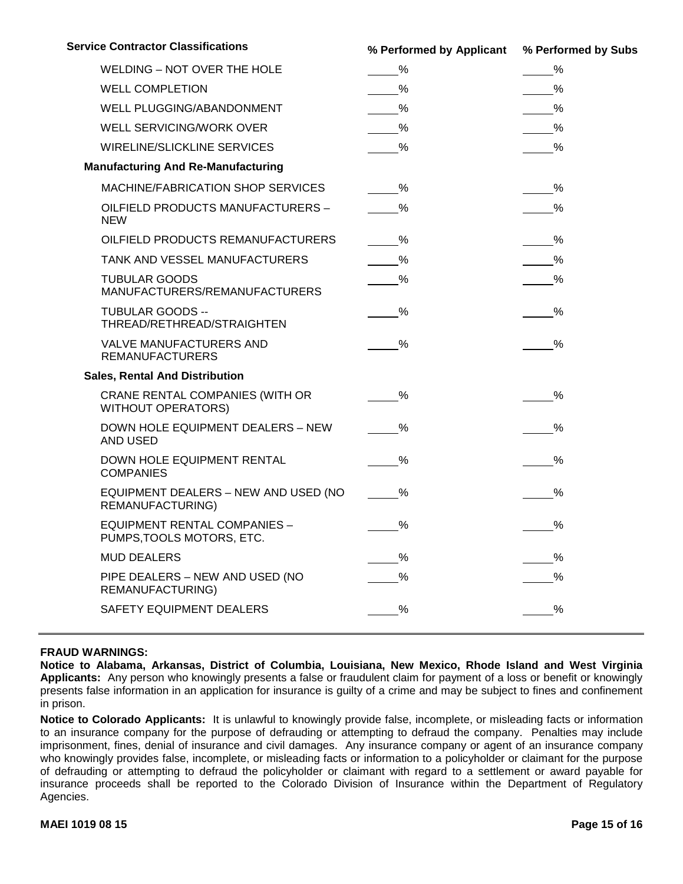| <b>Service Contractor Classifications</b>                        | % Performed by Applicant % Performed by Subs |               |
|------------------------------------------------------------------|----------------------------------------------|---------------|
| WELDING - NOT OVER THE HOLE                                      | $\frac{\%}{\%}$                              | $\frac{9}{6}$ |
| <b>WELL COMPLETION</b>                                           | $\frac{9}{6}$                                |               |
| WELL PLUGGING/ABANDONMENT                                        | $\frac{9}{6}$                                |               |
| WELL SERVICING/WORK OVER                                         | $\frac{\%}{\%}$                              | $\frac{9}{6}$ |
| WIRELINE/SLICKLINE SERVICES                                      | $\%$                                         | $\%$          |
| <b>Manufacturing And Re-Manufacturing</b>                        |                                              |               |
| MACHINE/FABRICATION SHOP SERVICES                                | $\%$                                         | $\%$          |
| OILFIELD PRODUCTS MANUFACTURERS -<br><b>NEW</b>                  | $\%$                                         | $\%$          |
| OILFIELD PRODUCTS REMANUFACTURERS                                | $\%$                                         | $\frac{9}{6}$ |
| TANK AND VESSEL MANUFACTURERS                                    | $\frac{\%}{\%}$                              | $\frac{9}{6}$ |
| <b>TUBULAR GOODS</b><br>MANUFACTURERS/REMANUFACTURERS            | $\frac{9}{6}$                                | $\frac{9}{6}$ |
| <b>TUBULAR GOODS --</b><br>THREAD/RETHREAD/STRAIGHTEN            | $\%$                                         | $\%$          |
| VALVE MANUFACTURERS AND<br><b>REMANUFACTURERS</b>                | $\%$                                         | %             |
| <b>Sales, Rental And Distribution</b>                            |                                              |               |
| CRANE RENTAL COMPANIES (WITH OR<br><b>WITHOUT OPERATORS)</b>     | $\%$                                         | %             |
| DOWN HOLE EQUIPMENT DEALERS - NEW<br>AND USED                    | $\%$                                         | $\%$          |
| DOWN HOLE EQUIPMENT RENTAL<br><b>COMPANIES</b>                   | %                                            | $\%$          |
| EQUIPMENT DEALERS - NEW AND USED (NO<br>REMANUFACTURING)         | $\%$                                         | %             |
| <b>EQUIPMENT RENTAL COMPANIES -</b><br>PUMPS, TOOLS MOTORS, ETC. | $\frac{9}{6}$                                | $\frac{9}{6}$ |
| <b>MUD DEALERS</b>                                               | $\%$                                         |               |
| PIPE DEALERS - NEW AND USED (NO<br>REMANUFACTURING)              |                                              |               |
| SAFETY EQUIPMENT DEALERS                                         | $\%$                                         | %             |

#### **FRAUD WARNINGS:**

**Notice to Alabama, Arkansas, District of Columbia, Louisiana, New Mexico, Rhode Island and West Virginia Applicants:** Any person who knowingly presents a false or fraudulent claim for payment of a loss or benefit or knowingly presents false information in an application for insurance is guilty of a crime and may be subject to fines and confinement in prison.

**Notice to Colorado Applicants:** It is unlawful to knowingly provide false, incomplete, or misleading facts or information to an insurance company for the purpose of defrauding or attempting to defraud the company. Penalties may include imprisonment, fines, denial of insurance and civil damages. Any insurance company or agent of an insurance company who knowingly provides false, incomplete, or misleading facts or information to a policyholder or claimant for the purpose of defrauding or attempting to defraud the policyholder or claimant with regard to a settlement or award payable for insurance proceeds shall be reported to the Colorado Division of Insurance within the Department of Regulatory Agencies.